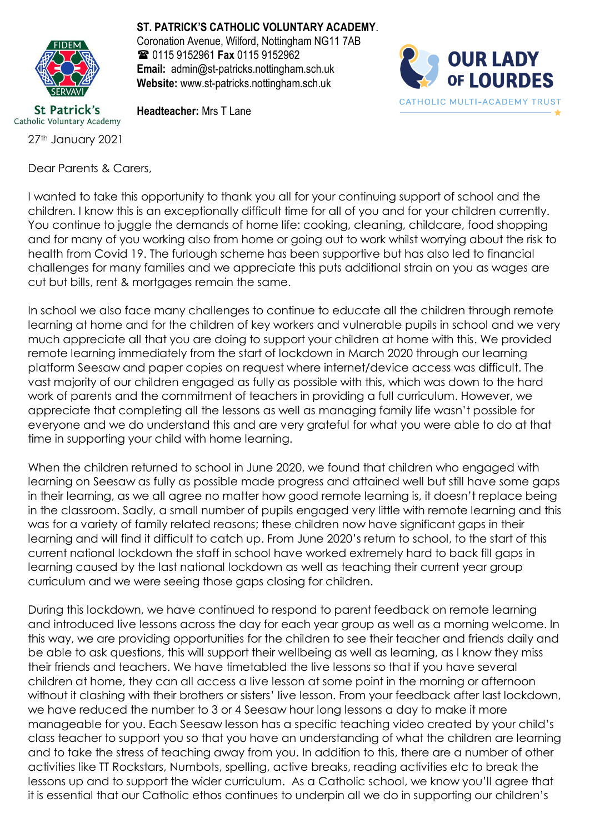

**St Patrick's** Catholic Voluntary Academy

27th January 2021

Dear Parents & Carers,

**ST. PATRICK'S CATHOLIC VOLUNTARY ACADEMY**.

Coronation Avenue, Wilford, Nottingham NG11 7AB 0115 9152961 **Fax** 0115 9152962 **Email:** admin@st-patricks.nottingham.sch.uk **Website:** www.st-patricks.nottingham.sch.uk



**Headteacher:** Mrs T Lane

I wanted to take this opportunity to thank you all for your continuing support of school and the children. I know this is an exceptionally difficult time for all of you and for your children currently. You continue to juggle the demands of home life: cooking, cleaning, childcare, food shopping and for many of you working also from home or going out to work whilst worrying about the risk to health from Covid 19. The furlough scheme has been supportive but has also led to financial challenges for many families and we appreciate this puts additional strain on you as wages are cut but bills, rent & mortgages remain the same.

In school we also face many challenges to continue to educate all the children through remote learning at home and for the children of key workers and vulnerable pupils in school and we very much appreciate all that you are doing to support your children at home with this. We provided remote learning immediately from the start of lockdown in March 2020 through our learning platform Seesaw and paper copies on request where internet/device access was difficult. The vast majority of our children engaged as fully as possible with this, which was down to the hard work of parents and the commitment of teachers in providing a full curriculum. However, we appreciate that completing all the lessons as well as managing family life wasn't possible for everyone and we do understand this and are very grateful for what you were able to do at that time in supporting your child with home learning.

When the children returned to school in June 2020, we found that children who engaged with learning on Seesaw as fully as possible made progress and attained well but still have some gaps in their learning, as we all agree no matter how good remote learning is, it doesn't replace being in the classroom. Sadly, a small number of pupils engaged very little with remote learning and this was for a variety of family related reasons; these children now have significant gaps in their learning and will find it difficult to catch up. From June 2020's return to school, to the start of this current national lockdown the staff in school have worked extremely hard to back fill gaps in learning caused by the last national lockdown as well as teaching their current year group curriculum and we were seeing those gaps closing for children.

During this lockdown, we have continued to respond to parent feedback on remote learning and introduced live lessons across the day for each year group as well as a morning welcome. In this way, we are providing opportunities for the children to see their teacher and friends daily and be able to ask questions, this will support their wellbeing as well as learning, as I know they miss their friends and teachers. We have timetabled the live lessons so that if you have several children at home, they can all access a live lesson at some point in the morning or afternoon without it clashing with their brothers or sisters' live lesson. From your feedback after last lockdown, we have reduced the number to 3 or 4 Seesaw hour long lessons a day to make it more manageable for you. Each Seesaw lesson has a specific teaching video created by your child's class teacher to support you so that you have an understanding of what the children are learning and to take the stress of teaching away from you. In addition to this, there are a number of other activities like TT Rockstars, Numbots, spelling, active breaks, reading activities etc to break the lessons up and to support the wider curriculum. As a Catholic school, we know you'll agree that it is essential that our Catholic ethos continues to underpin all we do in supporting our children's